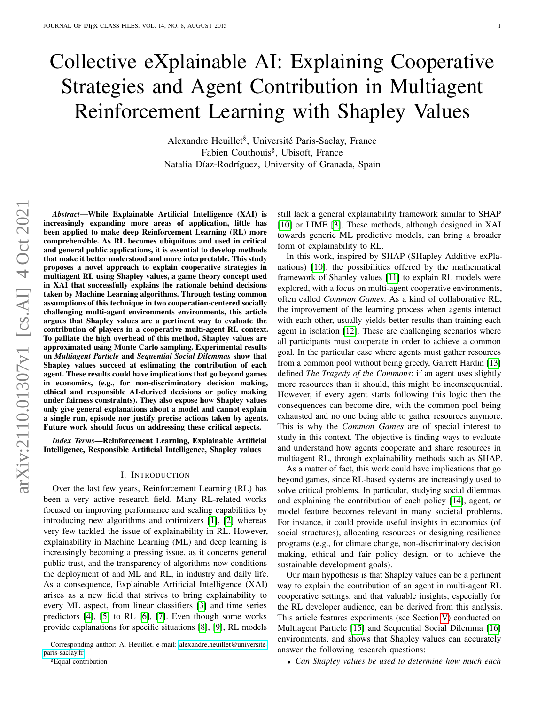# Collective eXplainable AI: Explaining Cooperative Strategies and Agent Contribution in Multiagent Reinforcement Learning with Shapley Values

Alexandre Heuillet<sup>§</sup>, Université Paris-Saclay, France Fabien Couthouis§ , Ubisoft, France Natalia Díaz-Rodríguez, University of Granada, Spain

*Abstract*—While Explainable Artificial Intelligence (XAI) is increasingly expanding more areas of application, little has been applied to make deep Reinforcement Learning (RL) more comprehensible. As RL becomes ubiquitous and used in critical and general public applications, it is essential to develop methods that make it better understood and more interpretable. This study proposes a novel approach to explain cooperative strategies in multiagent RL using Shapley values, a game theory concept used in XAI that successfully explains the rationale behind decisions taken by Machine Learning algorithms. Through testing common assumptions of this technique in two cooperation-centered socially challenging multi-agent environments environments, this article argues that Shapley values are a pertinent way to evaluate the contribution of players in a cooperative multi-agent RL context. To palliate the high overhead of this method, Shapley values are approximated using Monte Carlo sampling. Experimental results on *Multiagent Particle* and *Sequential Social Dilemmas* show that Shapley values succeed at estimating the contribution of each agent. These results could have implications that go beyond games in economics, (e.g., for non-discriminatory decision making, ethical and responsible AI-derived decisions or policy making under fairness constraints). They also expose how Shapley values only give general explanations about a model and cannot explain a single run, episode nor justify precise actions taken by agents. Future work should focus on addressing these critical aspects.

*Index Terms*—Reinforcement Learning, Explainable Artificial Intelligence, Responsible Artificial Intelligence, Shapley values

## I. INTRODUCTION

<span id="page-0-0"></span>Over the last few years, Reinforcement Learning (RL) has been a very active research field. Many RL-related works focused on improving performance and scaling capabilities by introducing new algorithms and optimizers [\[1\]](#page-9-0), [\[2\]](#page-9-1) whereas very few tackled the issue of explainability in RL. However, explainability in Machine Learning (ML) and deep learning is increasingly becoming a pressing issue, as it concerns general public trust, and the transparency of algorithms now conditions the deployment of and ML and RL, in industry and daily life. As a consequence, Explainable Artificial Intelligence (XAI) arises as a new field that strives to bring explainability to every ML aspect, from linear classifiers [\[3\]](#page-9-2) and time series predictors [\[4\]](#page-9-3), [\[5\]](#page-9-4) to RL [\[6\]](#page-9-5), [\[7\]](#page-10-0). Even though some works provide explanations for specific situations [\[8\]](#page-10-1), [\[9\]](#page-10-2), RL models

still lack a general explainability framework similar to SHAP [\[10\]](#page-10-3) or LIME [\[3\]](#page-9-2). These methods, although designed in XAI towards generic ML predictive models, can bring a broader form of explainability to RL.

In this work, inspired by SHAP (SHapley Additive exPlanations) [\[10\]](#page-10-3), the possibilities offered by the mathematical framework of Shapley values [\[11\]](#page-10-4) to explain RL models were explored, with a focus on multi-agent cooperative environments, often called *Common Games*. As a kind of collaborative RL, the improvement of the learning process when agents interact with each other, usually yields better results than training each agent in isolation [\[12\]](#page-10-5). These are challenging scenarios where all participants must cooperate in order to achieve a common goal. In the particular case where agents must gather resources from a common pool without being greedy, Garrett Hardin [\[13\]](#page-10-6) defined *The Tragedy of the Commons*: if an agent uses slightly more resources than it should, this might be inconsequential. However, if every agent starts following this logic then the consequences can become dire, with the common pool being exhausted and no one being able to gather resources anymore. This is why the *Common Games* are of special interest to study in this context. The objective is finding ways to evaluate and understand how agents cooperate and share resources in multiagent RL, through explainability methods such as SHAP.

As a matter of fact, this work could have implications that go beyond games, since RL-based systems are increasingly used to solve critical problems. In particular, studying social dilemmas and explaining the contribution of each policy [\[14\]](#page-10-7), agent, or model feature becomes relevant in many societal problems. For instance, it could provide useful insights in economics (of social structures), allocating resources or designing resilience programs (e.g., for climate change, non-discriminatory decision making, ethical and fair policy design, or to achieve the sustainable development goals).

Our main hypothesis is that Shapley values can be a pertinent way to explain the contribution of an agent in multi-agent RL cooperative settings, and that valuable insights, especially for the RL developer audience, can be derived from this analysis. This article features experiments (see Section [V\)](#page-3-0) conducted on Multiagent Particle [\[15\]](#page-10-8) and Sequential Social Dilemma [\[16\]](#page-10-9) environments, and shows that Shapley values can accurately answer the following research questions:

• *Can Shapley values be used to determine how much each*

Corresponding author: A. Heuillet. e-mail: [alexandre.heuillet@universite](mailto:alexandre.heuillet@universite-paris-saclay.fr)[paris-saclay.fr](mailto:alexandre.heuillet@universite-paris-saclay.fr)

<sup>§</sup>Equal contribution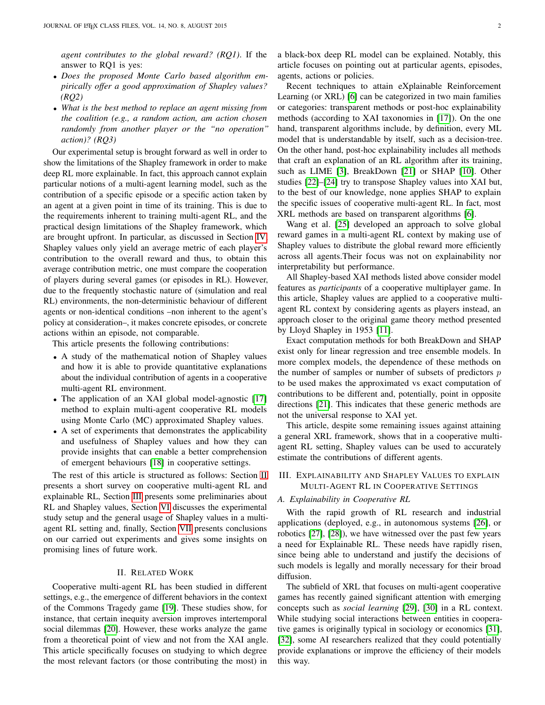*agent contributes to the global reward? (RQ1)*. If the answer to RQ1 is yes:

- *Does the proposed Monte Carlo based algorithm empirically offer a good approximation of Shapley values? (RQ2)*
- *What is the best method to replace an agent missing from the coalition (e.g., a random action, am action chosen randomly from another player or the "no operation" action)? (RQ3)*

Our experimental setup is brought forward as well in order to show the limitations of the Shapley framework in order to make deep RL more explainable. In fact, this approach cannot explain particular notions of a multi-agent learning model, such as the contribution of a specific episode or a specific action taken by an agent at a given point in time of its training. This is due to the requirements inherent to training multi-agent RL, and the practical design limitations of the Shapley framework, which are brought upfront. In particular, as discussed in Section [IV,](#page-3-1) Shapley values only yield an average metric of each player's contribution to the overall reward and thus, to obtain this average contribution metric, one must compare the cooperation of players during several games (or episodes in RL). However, due to the frequently stochastic nature of (simulation and real RL) environments, the non-deterministic behaviour of different agents or non-identical conditions –non inherent to the agent's policy at consideration–, it makes concrete episodes, or concrete actions within an episode, not comparable.

This article presents the following contributions:

- A study of the mathematical notion of Shapley values and how it is able to provide quantitative explanations about the individual contribution of agents in a cooperative multi-agent RL environment.
- The application of an XAI global model-agnostic [\[17\]](#page-10-10) method to explain multi-agent cooperative RL models using Monte Carlo (MC) approximated Shapley values.
- A set of experiments that demonstrates the applicability and usefulness of Shapley values and how they can provide insights that can enable a better comprehension of emergent behaviours [\[18\]](#page-10-11) in cooperative settings.

The rest of this article is structured as follows: Section [II](#page-1-0) presents a short survey on cooperative multi-agent RL and explainable RL, Section [III](#page-1-1) presents some preliminaries about RL and Shapley values, Section [VI](#page-9-6) discusses the experimental study setup and the general usage of Shapley values in a multiagent RL setting and, finally, Section [VII](#page-9-7) presents conclusions on our carried out experiments and gives some insights on promising lines of future work.

#### II. RELATED WORK

<span id="page-1-0"></span>Cooperative multi-agent RL has been studied in different settings, e.g., the emergence of different behaviors in the context of the Commons Tragedy game [\[19\]](#page-10-12). These studies show, for instance, that certain inequity aversion improves intertemporal social dilemmas [\[20\]](#page-10-13). However, these works analyze the game from a theoretical point of view and not from the XAI angle. This article specifically focuses on studying to which degree the most relevant factors (or those contributing the most) in

a black-box deep RL model can be explained. Notably, this article focuses on pointing out at particular agents, episodes, agents, actions or policies.

Recent techniques to attain eXplainable Reinforcement Learning (or XRL) [\[6\]](#page-9-5) can be categorized in two main families or categories: transparent methods or post-hoc explainability methods (according to XAI taxonomies in [\[17\]](#page-10-10)). On the one hand, transparent algorithms include, by definition, every ML model that is understandable by itself, such as a decision-tree. On the other hand, post-hoc explainability includes all methods that craft an explanation of an RL algorithm after its training, such as LIME [\[3\]](#page-9-2), BreakDown [\[21\]](#page-10-14) or SHAP [\[10\]](#page-10-3). Other studies [\[22\]](#page-10-15)–[\[24\]](#page-10-16) try to transpose Shapley values into XAI but, to the best of our knowledge, none applies SHAP to explain the specific issues of cooperative multi-agent RL. In fact, most XRL methods are based on transparent algorithms [\[6\]](#page-9-5).

Wang et al. [\[25\]](#page-10-17) developed an approach to solve global reward games in a multi-agent RL context by making use of Shapley values to distribute the global reward more efficiently across all agents.Their focus was not on explainability nor interpretability but performance.

All Shapley-based XAI methods listed above consider model features as *participants* of a cooperative multiplayer game. In this article, Shapley values are applied to a cooperative multiagent RL context by considering agents as players instead, an approach closer to the original game theory method presented by Lloyd Shapley in 1953 [\[11\]](#page-10-4).

Exact computation methods for both BreakDown and SHAP exist only for linear regression and tree ensemble models. In more complex models, the dependence of these methods on the number of samples or number of subsets of predictors  $p$ to be used makes the approximated vs exact computation of contributions to be different and, potentially, point in opposite directions [\[21\]](#page-10-14). This indicates that these generic methods are not the universal response to XAI yet.

This article, despite some remaining issues against attaining a general XRL framework, shows that in a cooperative multiagent RL setting, Shapley values can be used to accurately estimate the contributions of different agents.

## <span id="page-1-1"></span>III. EXPLAINABILITY AND SHAPLEY VALUES TO EXPLAIN MULTI-AGENT RL IN COOPERATIVE SETTINGS

## *A. Explainability in Cooperative RL*

With the rapid growth of RL research and industrial applications (deployed, e.g., in autonomous systems [\[26\]](#page-10-18), or robotics [\[27\]](#page-10-19), [\[28\]](#page-10-20)), we have witnessed over the past few years a need for Explainable RL. These needs have rapidly risen, since being able to understand and justify the decisions of such models is legally and morally necessary for their broad diffusion.

The subfield of XRL that focuses on multi-agent cooperative games has recently gained significant attention with emerging concepts such as *social learning* [\[29\]](#page-10-21), [\[30\]](#page-10-22) in a RL context. While studying social interactions between entities in cooperative games is originally typical in sociology or economics [\[31\]](#page-10-23), [\[32\]](#page-10-24), some AI researchers realized that they could potentially provide explanations or improve the efficiency of their models this way.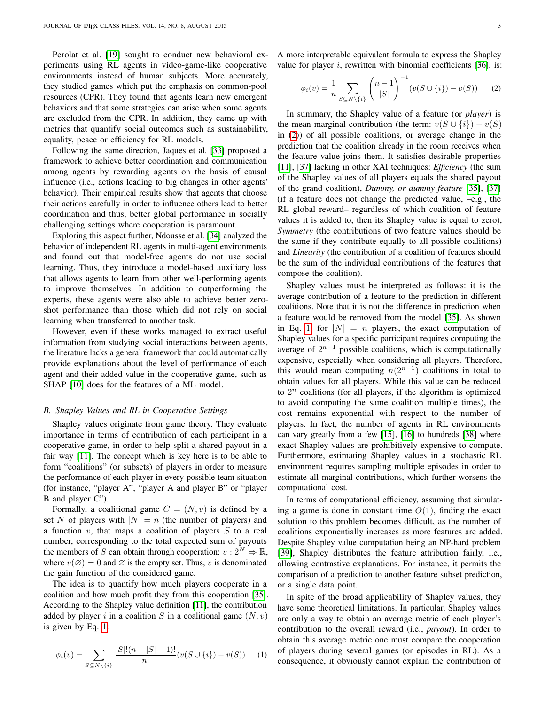Perolat et al. [\[19\]](#page-10-12) sought to conduct new behavioral experiments using RL agents in video-game-like cooperative environments instead of human subjects. More accurately, they studied games which put the emphasis on common-pool resources (CPR). They found that agents learn new emergent behaviors and that some strategies can arise when some agents are excluded from the CPR. In addition, they came up with metrics that quantify social outcomes such as sustainability, equality, peace or efficiency for RL models.

Following the same direction, Jaques et al. [\[33\]](#page-10-25) proposed a framework to achieve better coordination and communication among agents by rewarding agents on the basis of causal influence (i.e., actions leading to big changes in other agents' behavior). Their empirical results show that agents that choose their actions carefully in order to influence others lead to better coordination and thus, better global performance in socially challenging settings where cooperation is paramount.

Exploring this aspect further, Ndousse et al. [\[34\]](#page-10-26) analyzed the behavior of independent RL agents in multi-agent environments and found out that model-free agents do not use social learning. Thus, they introduce a model-based auxiliary loss that allows agents to learn from other well-performing agents to improve themselves. In addition to outperforming the experts, these agents were also able to achieve better zeroshot performance than those which did not rely on social learning when transferred to another task.

However, even if these works managed to extract useful information from studying social interactions between agents, the literature lacks a general framework that could automatically provide explanations about the level of performance of each agent and their added value in the cooperative game, such as SHAP [\[10\]](#page-10-3) does for the features of a ML model.

## <span id="page-2-2"></span>*B. Shapley Values and RL in Cooperative Settings*

Shapley values originate from game theory. They evaluate importance in terms of contribution of each participant in a cooperative game, in order to help split a shared payout in a fair way [\[11\]](#page-10-4). The concept which is key here is to be able to form "coalitions" (or subsets) of players in order to measure the performance of each player in every possible team situation (for instance, "player A", "player A and player B" or "player B and player C").

Formally, a coalitional game  $C = (N, v)$  is defined by a set N of players with  $|N| = n$  (the number of players) and a function  $v$ , that maps a coalition of players  $S$  to a real number, corresponding to the total expected sum of payouts the members of S can obtain through cooperation:  $v: 2^N \Rightarrow \mathbb{R}$ , where  $v(\emptyset) = 0$  and  $\emptyset$  is the empty set. Thus, v is denominated the gain function of the considered game.

The idea is to quantify how much players cooperate in a coalition and how much profit they from this cooperation [\[35\]](#page-10-27). According to the Shapley value definition [\[11\]](#page-10-4), the contribution added by player i in a coalition S in a coalitional game  $(N, v)$ is given by Eq. [1:](#page-2-0)

<span id="page-2-0"></span>
$$
\phi_i(v) = \sum_{S \subseteq N \setminus \{i\}} \frac{|S|!(n-|S|-1)!}{n!} (v(S \cup \{i\}) - v(S)) \tag{1}
$$

A more interpretable equivalent formula to express the Shapley value for player  $i$ , rewritten with binomial coefficients [\[36\]](#page-10-28), is:

<span id="page-2-1"></span>
$$
\phi_i(v) = \frac{1}{n} \sum_{S \subseteq N \setminus \{i\}} \binom{n-1}{|S|}^{-1} (v(S \cup \{i\}) - v(S)) \tag{2}
$$

In summary, the Shapley value of a feature (or *player*) is the mean marginal contribution (the term:  $v(S \cup \{i\}) - v(S)$ in [\(2\)](#page-2-1)) of all possible coalitions, or average change in the prediction that the coalition already in the room receives when the feature value joins them. It satisfies desirable properties [\[11\]](#page-10-4), [\[37\]](#page-10-29) lacking in other XAI techniques: *Efficiency* (the sum of the Shapley values of all players equals the shared payout of the grand coalition), *Dummy, or dummy feature* [\[35\]](#page-10-27), [\[37\]](#page-10-29) (if a feature does not change the predicted value, –e.g., the RL global reward– regardless of which coalition of feature values it is added to, then its Shapley value is equal to zero), *Symmetry* (the contributions of two feature values should be the same if they contribute equally to all possible coalitions) and *Linearity* (the contribution of a coalition of features should be the sum of the individual contributions of the features that compose the coalition).

Shapley values must be interpreted as follows: it is the average contribution of a feature to the prediction in different coalitions. Note that it is not the difference in prediction when a feature would be removed from the model [\[35\]](#page-10-27). As shown in Eq. [1,](#page-2-0) for  $|N| = n$  players, the exact computation of Shapley values for a specific participant requires computing the average of  $2^{n-1}$  possible coalitions, which is computationally expensive, especially when considering all players. Therefore, this would mean computing  $n(2^{n-1})$  coalitions in total to obtain values for all players. While this value can be reduced to  $2^n$  coalitions (for all players, if the algorithm is optimized to avoid computing the same coalition multiple times), the cost remains exponential with respect to the number of players. In fact, the number of agents in RL environments can vary greatly from a few [\[15\]](#page-10-8), [\[16\]](#page-10-9) to hundreds [\[38\]](#page-10-30) where exact Shapley values are prohibitively expensive to compute. Furthermore, estimating Shapley values in a stochastic RL environment requires sampling multiple episodes in order to estimate all marginal contributions, which further worsens the computational cost.

In terms of computational efficiency, assuming that simulating a game is done in constant time  $O(1)$ , finding the exact solution to this problem becomes difficult, as the number of coalitions exponentially increases as more features are added. Despite Shapley value computation being an NP-hard problem [\[39\]](#page-10-31), Shapley distributes the feature attribution fairly, i.e., allowing contrastive explanations. For instance, it permits the comparison of a prediction to another feature subset prediction, or a single data point.

In spite of the broad applicability of Shapley values, they have some theoretical limitations. In particular, Shapley values are only a way to obtain an average metric of each player's contribution to the overall reward (i.e., *payout*). In order to obtain this average metric one must compare the cooperation of players during several games (or episodes in RL). As a consequence, it obviously cannot explain the contribution of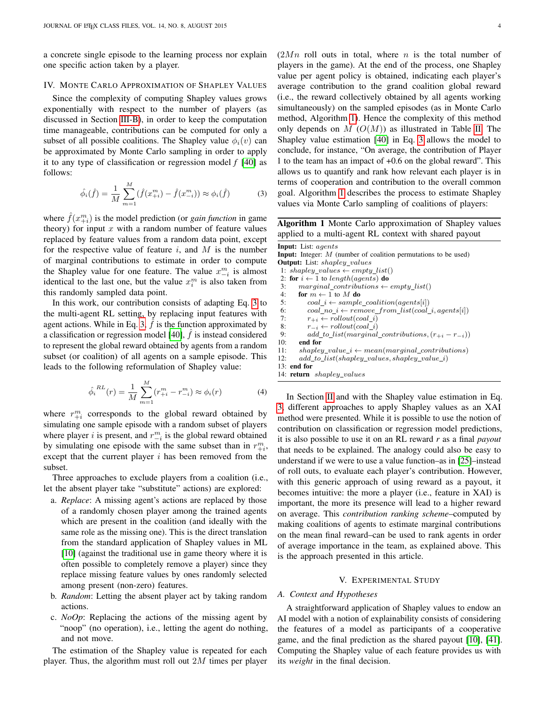a concrete single episode to the learning process nor explain one specific action taken by a player.

## <span id="page-3-1"></span>IV. MONTE CARLO APPROXIMATION OF SHAPLEY VALUES

Since the complexity of computing Shapley values grows exponentially with respect to the number of players (as discussed in Section [III-B\)](#page-2-2), in order to keep the computation time manageable, contributions can be computed for only a subset of all possible coalitions. The Shapley value  $\phi_i(v)$  can be approximated by Monte Carlo sampling in order to apply it to any type of classification or regression model *f* [\[40\]](#page-10-32) as follows:

<span id="page-3-2"></span>
$$
\hat{\phi}_i(\hat{f}) = \frac{1}{M} \sum_{m=1}^{M} (\hat{f}(x_{+i}^m) - \hat{f}(x_{-i}^m)) \approx \phi_i(\hat{f})
$$
\n(3)

where  $\hat{f}(x_{+i}^m)$  is the model prediction (or *gain function* in game theory) for input  $x$  with a random number of feature values replaced by feature values from a random data point, except for the respective value of feature  $i$ , and  $M$  is the number of marginal contributions to estimate in order to compute the Shapley value for one feature. The value  $x_{-i}^m$  is almost identical to the last one, but the value  $x_i^m$  is also taken from this randomly sampled data point.

In this work, our contribution consists of adapting Eq. [3](#page-3-2) to the multi-agent RL setting, by replacing input features with agent actions. While in Eq. [3,](#page-3-2)  $\hat{f}$  is the function approximated by a classification or regression model  $[40]$ , f is instead considered to represent the global reward obtained by agents from a random subset (or coalition) of all agents on a sample episode. This leads to the following reformulation of Shapley value:

<span id="page-3-5"></span>
$$
\hat{\phi}_i^{RL}(r) = \frac{1}{M} \sum_{m=1}^{M} (r_{+i}^m - r_{-i}^m) \approx \phi_i(r)
$$
\n(4)

where  $r_{+i}^m$  corresponds to the global reward obtained by simulating one sample episode with a random subset of players where player *i* is present, and  $r_{-i}^m$  is the global reward obtained by simulating one episode with the same subset than in  $r_{+i}^m$ , except that the current player  $i$  has been removed from the subset.

Three approaches to exclude players from a coalition (i.e., let the absent player take "substitute" actions) are explored:

- a. *Replace*: A missing agent's actions are replaced by those of a randomly chosen player among the trained agents which are present in the coalition (and ideally with the same role as the missing one). This is the direct translation from the standard application of Shapley values in ML [\[10\]](#page-10-3) (against the traditional use in game theory where it is often possible to completely remove a player) since they replace missing feature values by ones randomly selected among present (non-zero) features.
- b. *Random*: Letting the absent player act by taking random actions.
- c. *NoOp*: Replacing the actions of the missing agent by "noop" (no operation), i.e., letting the agent do nothing, and not move.

The estimation of the Shapley value is repeated for each player. Thus, the algorithm must roll out  $2M$  times per player  $(2Mn)$  roll outs in total, where n is the total number of players in the game). At the end of the process, one Shapley value per agent policy is obtained, indicating each player's average contribution to the grand coalition global reward (i.e., the reward collectively obtained by all agents working simultaneously) on the sampled episodes (as in Monte Carlo method, Algorithm [1\)](#page-3-3). Hence the complexity of this method only depends on M  $(O(M))$  as illustrated in Table [II.](#page-4-0) The Shapley value estimation [\[40\]](#page-10-32) in Eq. [3](#page-3-2) allows the model to conclude, for instance, "On average, the contribution of Player 1 to the team has an impact of +0.6 on the global reward". This allows us to quantify and rank how relevant each player is in terms of cooperation and contribution to the overall common goal. Algorithm [1](#page-3-3) describes the process to estimate Shapley values via Monte Carlo sampling of coalitions of players:

Algorithm 1 Monte Carlo approximation of Shapley values applied to a multi-agent RL context with shared payout

| <b>Input:</b> List: agents                                               |  |  |  |  |  |
|--------------------------------------------------------------------------|--|--|--|--|--|
| <b>Input:</b> Integer: $M$ (number of coalition permutations to be used) |  |  |  |  |  |
| <b>Output:</b> List: <i>shapley values</i>                               |  |  |  |  |  |
| 1: shapley values $\leftarrow \text{empty list}()$                       |  |  |  |  |  |
| 2: for $i \leftarrow 1$ to length(agents) do                             |  |  |  |  |  |
| $marginal$ contributions $\leftarrow \text{empty list}()$<br>3:          |  |  |  |  |  |
| 4:<br>for $m \leftarrow 1$ to M do                                       |  |  |  |  |  |
| 5:<br>$coal_i \leftarrow sample\_coalition(agents[i])$                   |  |  |  |  |  |
| $coal\_no_i \leftarrow remove\_from\_list(coul_i, agents[i])$<br>6:      |  |  |  |  |  |
| $r_{+i} \leftarrow$ rollout(coal_i)<br>7:                                |  |  |  |  |  |
| $r_{-i} \leftarrow$ rollout(coal i)<br>8:                                |  |  |  |  |  |
| $add\_to\_list(marginal\_contributions, (r_{+i} - r_{-i}))$<br>9:        |  |  |  |  |  |
| 10:<br>end for                                                           |  |  |  |  |  |
| 11:<br>$shapley\_value_i \leftarrow mean(marginal\_contributions)$       |  |  |  |  |  |
| add to list(shapley values, shapley value i)<br>12:                      |  |  |  |  |  |
| $13:$ end for                                                            |  |  |  |  |  |
| 14: <b>return</b> <i>shapley values</i>                                  |  |  |  |  |  |

<span id="page-3-3"></span>In Section [II](#page-1-0) and with the Shapley value estimation in Eq. [3,](#page-3-2) different approaches to apply Shapley values as an XAI method were presented. While it is possible to use the notion of contribution on classification or regression model predictions, it is also possible to use it on an RL reward *r* as a final *payout* that needs to be explained. The analogy could also be easy to understand if we were to use a value function–as in [\[25\]](#page-10-17)–instead of roll outs, to evaluate each player's contribution. However, with this generic approach of using reward as a payout, it becomes intuitive: the more a player (i.e., feature in XAI) is important, the more its presence will lead to a higher reward on average. This *contribution ranking scheme*–computed by making coalitions of agents to estimate marginal contributions on the mean final reward–can be used to rank agents in order of average importance in the team, as explained above. This is the approach presented in this article.

#### V. EXPERIMENTAL STUDY

#### <span id="page-3-4"></span><span id="page-3-0"></span>*A. Context and Hypotheses*

A straightforward application of Shapley values to endow an AI model with a notion of explainability consists of considering the features of a model as participants of a cooperative game, and the final prediction as the shared payout [\[10\]](#page-10-3), [\[41\]](#page-10-33). Computing the Shapley value of each feature provides us with its *weight* in the final decision.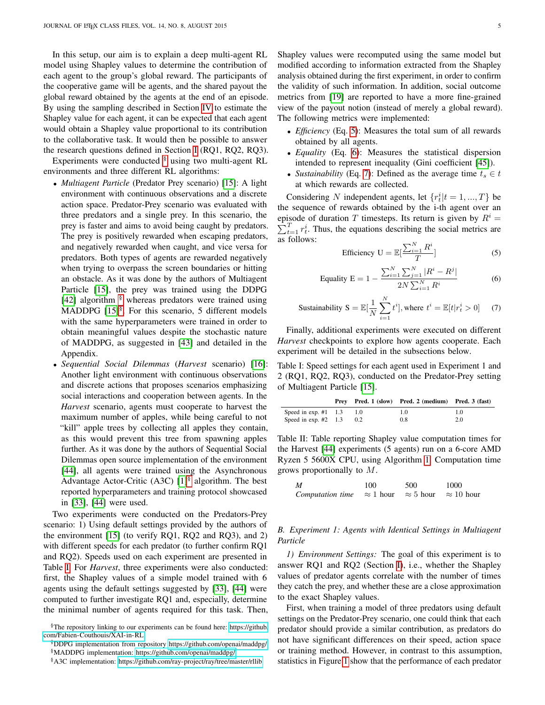In this setup, our aim is to explain a deep multi-agent RL model using Shapley values to determine the contribution of each agent to the group's global reward. The participants of the cooperative game will be agents, and the shared payout the global reward obtained by the agents at the end of an episode. By using the sampling described in Section [IV](#page-3-1) to estimate the Shapley value for each agent, it can be expected that each agent would obtain a Shapley value proportional to its contribution to the collaborative task. It would then be possible to answer the research questions defined in Section [I](#page-0-0) (RQ1, RQ2, RQ3).

Experiments were conducted  $\frac{8}{3}$  using two multi-agent RL environments and three different RL algorithms:

- *Multiagent Particle* (Predator Prey scenario) [\[15\]](#page-10-8): A light environment with continuous observations and a discrete action space. Predator-Prey scenario was evaluated with three predators and a single prey. In this scenario, the prey is faster and aims to avoid being caught by predators. The prey is positively rewarded when escaping predators, and negatively rewarded when caught, and vice versa for predators. Both types of agents are rewarded negatively when trying to overpass the screen boundaries or hitting an obstacle. As it was done by the authors of Multiagent Particle [\[15\]](#page-10-8), the prey was trained using the DDPG [\[42\]](#page-10-34) algorithm  $\frac{8}{3}$  whereas predators were trained using MADDPG  $[15]$ <sup>[§](#page-4-3)</sup>. For this scenario, 5 different models with the same hyperparameters were trained in order to obtain meaningful values despite the stochastic nature of MADDPG, as suggested in [\[43\]](#page-10-35) and detailed in the Appendix.
- *Sequential Social Dilemmas* (*Harvest* scenario) [\[16\]](#page-10-9): Another light environment with continuous observations and discrete actions that proposes scenarios emphasizing social interactions and cooperation between agents. In the *Harvest* scenario, agents must cooperate to harvest the maximum number of apples, while being careful to not "kill" apple trees by collecting all apples they contain, as this would prevent this tree from spawning apples further. As it was done by the authors of Sequential Social Dilemmas open source implementation of the environment [\[44\]](#page-10-36), all agents were trained using the Asynchronous Advantage Actor-Critic (A3C)  $[1]^{\$}$  $[1]^{\$}$  algorithm. The best reported hyperparameters and training protocol showcased in [\[33\]](#page-10-25), [\[44\]](#page-10-36) were used.

Two experiments were conducted on the Predators-Prey scenario: 1) Using default settings provided by the authors of the environment [\[15\]](#page-10-8) (to verify RQ1, RQ2 and RQ3), and 2) with different speeds for each predator (to further confirm RQ1 and RQ2). Speeds used on each experiment are presented in Table [I.](#page-4-5) For *Harvest*, three experiments were also conducted: first, the Shapley values of a simple model trained with 6 agents using the default settings suggested by [\[33\]](#page-10-25), [\[44\]](#page-10-36) were computed to further investigate RQ1 and, especially, determine the minimal number of agents required for this task. Then, Shapley values were recomputed using the same model but modified according to information extracted from the Shapley analysis obtained during the first experiment, in order to confirm the validity of such information. In addition, social outcome metrics from [\[19\]](#page-10-12) are reported to have a more fine-grained view of the payout notion (instead of merely a global reward). The following metrics were implemented:

- *Efficiency* (Eq. [5\)](#page-4-6): Measures the total sum of all rewards obtained by all agents.
- *Equality* (Eq. [6\)](#page-4-7): Measures the statistical dispersion intended to represent inequality (Gini coefficient [\[45\]](#page-10-37)).
- *Sustainability* (Eq. [7\)](#page-4-8): Defined as the average time  $t_s \in t$ at which rewards are collected.

Considering N independent agents, let  $\{r_t^i | t = 1, ..., T\}$  be the sequence of rewards obtained by the i-th agent over an  $\sum_{t=1}^{T} r_t^i$ . Thus, the equations describing the social metrics are episode of duration T timesteps. Its return is given by  $R^i =$ as follows:

<span id="page-4-6"></span>Efficiency 
$$
U = \mathbb{E}[\frac{\sum_{i=1}^{N} R^{i}}{T}]
$$
 (5)

<span id="page-4-7"></span>Equality 
$$
E = 1 - \frac{\sum_{i=1}^{N} \sum_{j=1}^{N} |R^i - R^j|}{2N \sum_{i=1}^{N} R^i}
$$
 (6)

<span id="page-4-8"></span>
$$
\text{Sustainability } S = \mathbb{E}[\frac{1}{N} \sum_{i=1}^{N} t^i], \text{where } t^i = \mathbb{E}[t | r^i_t > 0] \tag{7}
$$

Finally, additional experiments were executed on different *Harvest* checkpoints to explore how agents cooperate. Each experiment will be detailed in the subsections below.

<span id="page-4-5"></span>Table I: Speed settings for each agent used in Experiment 1 and 2 (RQ1, RQ2, RQ3), conducted on the Predator-Prey setting of Multiagent Particle [\[15\]](#page-10-8).

|                        |               | Prev Pred. 1 (slow) Pred. 2 (medium) Pred. 3 (fast) |     |
|------------------------|---------------|-----------------------------------------------------|-----|
| Speed in exp. $#1$ 1.3 | 1.0           | 1.0                                                 | 1.0 |
| Speed in exp. $#2$ 1.3 | $0.2^{\circ}$ | 0.8                                                 | 2.0 |

<span id="page-4-0"></span>Table II: Table reporting Shapley value computation times for the Harvest [\[44\]](#page-10-36) experiments (5 agents) run on a 6-core AMD Ryzen 5 5600X CPU, using Algorithm [1.](#page-3-3) Computation time grows proportionally to M.

| M                | 100              | 500              | 1000              |
|------------------|------------------|------------------|-------------------|
| Computation time | $\approx$ 1 hour | $\approx$ 5 hour | $\approx$ 10 hour |

## *B. Experiment 1: Agents with Identical Settings in Multiagent Particle*

*1) Environment Settings:* The goal of this experiment is to answer RQ1 and RQ2 (Section [I\)](#page-0-0), i.e., whether the Shapley values of predator agents correlate with the number of times they catch the prey, and whether these are a close approximation to the exact Shapley values.

First, when training a model of three predators using default settings on the Predator-Prey scenario, one could think that each predator should provide a similar contribution, as predators do not have significant differences on their speed, action space or training method. However, in contrast to this assumption, statistics in Figure [1](#page-5-0) show that the performance of each predator

<span id="page-4-1"></span><sup>§</sup>The repository linking to our experiments can be found here: [https://github.](https://github.com/Fabien-Couthouis/XAI-in-RL) [com/Fabien-Couthouis/XAI-in-RL](https://github.com/Fabien-Couthouis/XAI-in-RL)

<span id="page-4-3"></span><span id="page-4-2"></span><sup>§</sup>DDPG implementation from repository<https://github.com/openai/maddpg/> §MADDPG implementation:<https://github.com/openai/maddpg/>

<span id="page-4-4"></span><sup>§</sup>A3C implementation:<https://github.com/ray-project/ray/tree/master/rllib>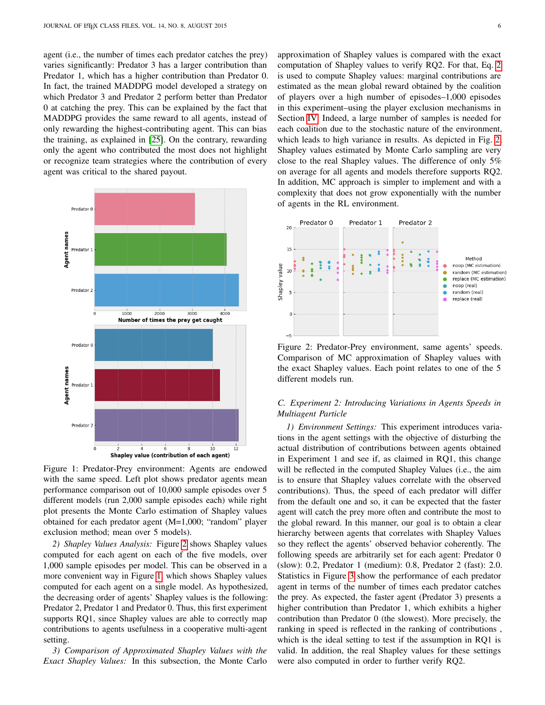agent (i.e., the number of times each predator catches the prey) varies significantly: Predator 3 has a larger contribution than Predator 1, which has a higher contribution than Predator 0. In fact, the trained MADDPG model developed a strategy on which Predator 3 and Predator 2 perform better than Predator 0 at catching the prey. This can be explained by the fact that MADDPG provides the same reward to all agents, instead of only rewarding the highest-contributing agent. This can bias the training, as explained in [\[25\]](#page-10-17). On the contrary, rewarding only the agent who contributed the most does not highlight or recognize team strategies where the contribution of every agent was critical to the shared payout.

<span id="page-5-0"></span>

Figure 1: Predator-Prey environment: Agents are endowed with the same speed. Left plot shows predator agents mean performance comparison out of 10,000 sample episodes over 5 different models (run 2,000 sample episodes each) while right plot presents the Monte Carlo estimation of Shapley values obtained for each predator agent (M=1,000; "random" player exclusion method; mean over 5 models).

*2) Shapley Values Analysis:* Figure [2](#page-5-1) shows Shapley values computed for each agent on each of the five models, over 1,000 sample episodes per model. This can be observed in a more convenient way in Figure [1,](#page-5-0) which shows Shapley values computed for each agent on a single model. As hypothesized, the decreasing order of agents' Shapley values is the following: Predator 2, Predator 1 and Predator 0. Thus, this first experiment supports RQ1, since Shapley values are able to correctly map contributions to agents usefulness in a cooperative multi-agent setting.

<span id="page-5-2"></span>*3) Comparison of Approximated Shapley Values with the Exact Shapley Values:* In this subsection, the Monte Carlo approximation of Shapley values is compared with the exact computation of Shapley values to verify RQ2. For that, Eq. [2](#page-2-1) is used to compute Shapley values: marginal contributions are estimated as the mean global reward obtained by the coalition of players over a high number of episodes–1,000 episodes in this experiment–using the player exclusion mechanisms in Section [IV.](#page-3-1) Indeed, a large number of samples is needed for each coalition due to the stochastic nature of the environment, which leads to high variance in results. As depicted in Fig. [2,](#page-5-1) Shapley values estimated by Monte Carlo sampling are very close to the real Shapley values. The difference of only 5% on average for all agents and models therefore supports RQ2. In addition, MC approach is simpler to implement and with a complexity that does not grow exponentially with the number of agents in the RL environment.

<span id="page-5-1"></span>

Figure 2: Predator-Prey environment, same agents' speeds. Comparison of MC approximation of Shapley values with the exact Shapley values. Each point relates to one of the 5 different models run.

## *C. Experiment 2: Introducing Variations in Agents Speeds in Multiagent Particle*

*1) Environment Settings:* This experiment introduces variations in the agent settings with the objective of disturbing the actual distribution of contributions between agents obtained in Experiment 1 and see if, as claimed in RQ1, this change will be reflected in the computed Shapley Values (i.e., the aim is to ensure that Shapley values correlate with the observed contributions). Thus, the speed of each predator will differ from the default one and so, it can be expected that the faster agent will catch the prey more often and contribute the most to the global reward. In this manner, our goal is to obtain a clear hierarchy between agents that correlates with Shapley Values so they reflect the agents' observed behavior coherently. The following speeds are arbitrarily set for each agent: Predator 0 (slow): 0.2, Predator 1 (medium): 0.8, Predator 2 (fast): 2.0. Statistics in Figure [3](#page-6-0) show the performance of each predator agent in terms of the number of times each predator catches the prey. As expected, the faster agent (Predator 3) presents a higher contribution than Predator 1, which exhibits a higher contribution than Predator 0 (the slowest). More precisely, the ranking in speed is reflected in the ranking of contributions , which is the ideal setting to test if the assumption in RQ1 is valid. In addition, the real Shapley values for these settings were also computed in order to further verify RQ2.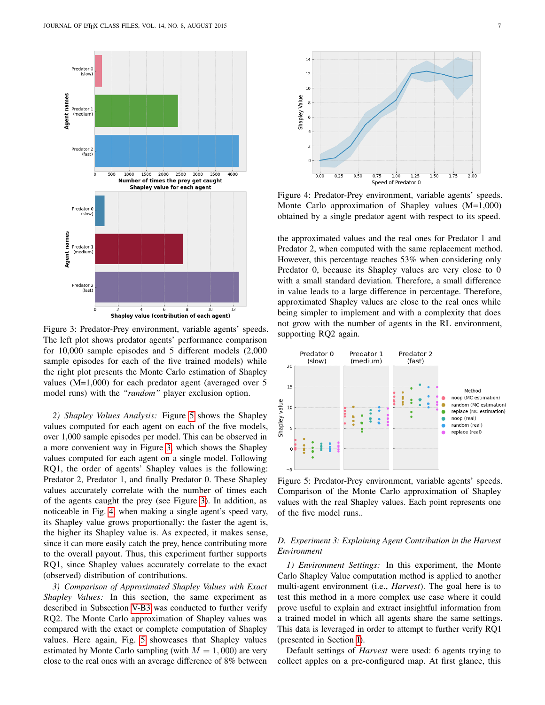<span id="page-6-0"></span>

Figure 3: Predator-Prey environment, variable agents' speeds. The left plot shows predator agents' performance comparison for 10,000 sample episodes and 5 different models (2,000 sample episodes for each of the five trained models) while the right plot presents the Monte Carlo estimation of Shapley values (M=1,000) for each predator agent (averaged over 5 model runs) with the *"random"* player exclusion option.

*2) Shapley Values Analysis:* Figure [5](#page-6-1) shows the Shapley values computed for each agent on each of the five models, over 1,000 sample episodes per model. This can be observed in a more convenient way in Figure [3,](#page-6-0) which shows the Shapley values computed for each agent on a single model. Following RQ1, the order of agents' Shapley values is the following: Predator 2, Predator 1, and finally Predator 0. These Shapley values accurately correlate with the number of times each of the agents caught the prey (see Figure [3\)](#page-6-0). In addition, as noticeable in Fig. [4,](#page-6-2) when making a single agent's speed vary, its Shapley value grows proportionally: the faster the agent is, the higher its Shapley value is. As expected, it makes sense, since it can more easily catch the prey, hence contributing more to the overall payout. Thus, this experiment further supports RQ1, since Shapley values accurately correlate to the exact (observed) distribution of contributions.

*3) Comparison of Approximated Shapley Values with Exact Shapley Values:* In this section, the same experiment as described in Subsection [V-B3](#page-5-2) was conducted to further verify RQ2. The Monte Carlo approximation of Shapley values was compared with the exact or complete computation of Shapley values. Here again, Fig. [5](#page-6-1) showcases that Shapley values estimated by Monte Carlo sampling (with  $M = 1,000$ ) are very close to the real ones with an average difference of 8% between

<span id="page-6-2"></span>

Figure 4: Predator-Prey environment, variable agents' speeds. Monte Carlo approximation of Shapley values (M=1,000) obtained by a single predator agent with respect to its speed.

the approximated values and the real ones for Predator 1 and Predator 2, when computed with the same replacement method. However, this percentage reaches 53% when considering only Predator 0, because its Shapley values are very close to 0 with a small standard deviation. Therefore, a small difference in value leads to a large difference in percentage. Therefore, approximated Shapley values are close to the real ones while being simpler to implement and with a complexity that does not grow with the number of agents in the RL environment, supporting RQ2 again.

<span id="page-6-1"></span>

Figure 5: Predator-Prey environment, variable agents' speeds. Comparison of the Monte Carlo approximation of Shapley values with the real Shapley values. Each point represents one of the five model runs..

## *D. Experiment 3: Explaining Agent Contribution in the Harvest Environment*

*1) Environment Settings:* In this experiment, the Monte Carlo Shapley Value computation method is applied to another multi-agent environment (i.e., *Harvest*). The goal here is to test this method in a more complex use case where it could prove useful to explain and extract insightful information from a trained model in which all agents share the same settings. This data is leveraged in order to attempt to further verify RQ1 (presented in Section [I\)](#page-0-0).

Default settings of *Harvest* were used: 6 agents trying to collect apples on a pre-configured map. At first glance, this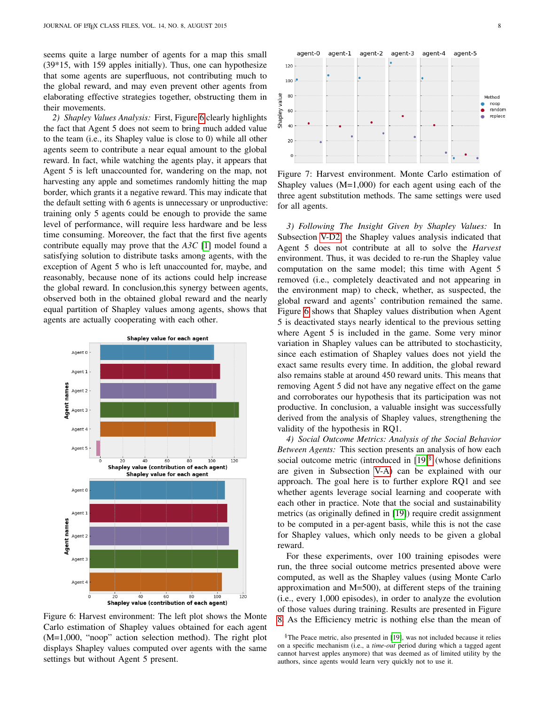seems quite a large number of agents for a map this small (39\*15, with 159 apples initially). Thus, one can hypothesize that some agents are superfluous, not contributing much to the global reward, and may even prevent other agents from elaborating effective strategies together, obstructing them in their movements.

<span id="page-7-1"></span>*2) Shapley Values Analysis:* First, Figure [6](#page-7-0) clearly highlights the fact that Agent 5 does not seem to bring much added value to the team (i.e., its Shapley value is close to 0) while all other agents seem to contribute a near equal amount to the global reward. In fact, while watching the agents play, it appears that Agent 5 is left unaccounted for, wandering on the map, not harvesting any apple and sometimes randomly hitting the map border, which grants it a negative reward. This may indicate that the default setting with 6 agents is unnecessary or unproductive: training only 5 agents could be enough to provide the same level of performance, will require less hardware and be less time consuming. Moreover, the fact that the first five agents contribute equally may prove that the *A3C* [\[1\]](#page-9-0) model found a satisfying solution to distribute tasks among agents, with the exception of Agent 5 who is left unaccounted for, maybe, and reasonably, because none of its actions could help increase the global reward. In conclusion,this synergy between agents, observed both in the obtained global reward and the nearly equal partition of Shapley values among agents, shows that agents are actually cooperating with each other.

<span id="page-7-0"></span>

Figure 6: Harvest environment: The left plot shows the Monte Carlo estimation of Shapley values obtained for each agent (M=1,000, "noop" action selection method). The right plot displays Shapley values computed over agents with the same settings but without Agent 5 present.

<span id="page-7-3"></span>

Figure 7: Harvest environment. Monte Carlo estimation of Shapley values  $(M=1,000)$  for each agent using each of the three agent substitution methods. The same settings were used for all agents.

*3) Following The Insight Given by Shapley Values:* In Subsection [V-D2,](#page-7-1) the Shapley values analysis indicated that Agent 5 does not contribute at all to solve the *Harvest* environment. Thus, it was decided to re-run the Shapley value computation on the same model; this time with Agent 5 removed (i.e., completely deactivated and not appearing in the environment map) to check, whether, as suspected, the global reward and agents' contribution remained the same. Figure [6](#page-7-0) shows that Shapley values distribution when Agent 5 is deactivated stays nearly identical to the previous setting where Agent 5 is included in the game. Some very minor variation in Shapley values can be attributed to stochasticity, since each estimation of Shapley values does not yield the exact same results every time. In addition, the global reward also remains stable at around 450 reward units. This means that removing Agent 5 did not have any negative effect on the game and corroborates our hypothesis that its participation was not productive. In conclusion, a valuable insight was successfully derived from the analysis of Shapley values, strengthening the validity of the hypothesis in RQ1.

*4) Social Outcome Metrics: Analysis of the Social Behavior Between Agents:* This section presents an analysis of how each social outcome metric (introduced in  $[19]$ <sup>[§](#page-7-2)</sup> (whose definitions are given in Subsection [V-A\)](#page-3-4) can be explained with our approach. The goal here is to further explore RQ1 and see whether agents leverage social learning and cooperate with each other in practice. Note that the social and sustainability metrics (as originally defined in [\[19\]](#page-10-12)) require credit assignment to be computed in a per-agent basis, while this is not the case for Shapley values, which only needs to be given a global reward.

For these experiments, over 100 training episodes were run, the three social outcome metrics presented above were computed, as well as the Shapley values (using Monte Carlo approximation and M=500), at different steps of the training (i.e., every 1,000 episodes), in order to analyze the evolution of those values during training. Results are presented in Figure [8.](#page-8-0) As the Efficiency metric is nothing else than the mean of

<span id="page-7-2"></span><sup>§</sup>The Peace metric, also presented in [\[19\]](#page-10-12), was not included because it relies on a specific mechanism (i.e., a *time-out* period during which a tagged agent cannot harvest apples anymore) that was deemed as of limited utility by the authors, since agents would learn very quickly not to use it.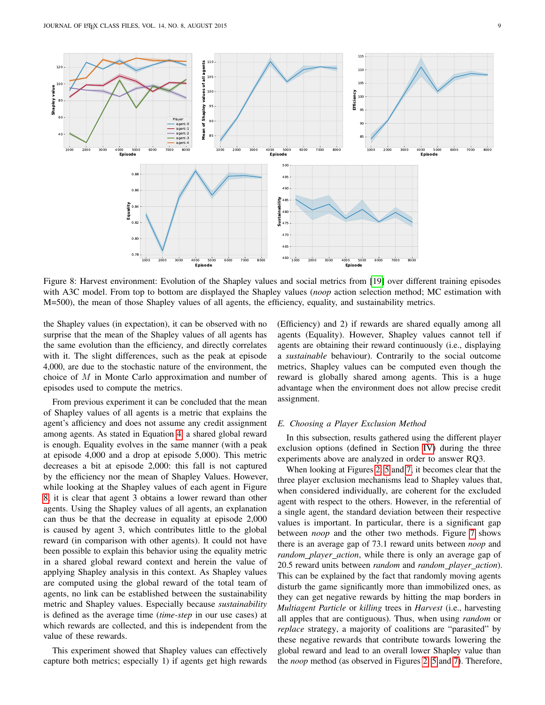<span id="page-8-0"></span>

Figure 8: Harvest environment: Evolution of the Shapley values and social metrics from [\[19\]](#page-10-12) over different training episodes with A3C model. From top to bottom are displayed the Shapley values (*noop* action selection method; MC estimation with M=500), the mean of those Shapley values of all agents, the efficiency, equality, and sustainability metrics.

the Shapley values (in expectation), it can be observed with no surprise that the mean of the Shapley values of all agents has the same evolution than the efficiency, and directly correlates with it. The slight differences, such as the peak at episode 4,000, are due to the stochastic nature of the environment, the choice of M in Monte Carlo approximation and number of episodes used to compute the metrics.

From previous experiment it can be concluded that the mean of Shapley values of all agents is a metric that explains the agent's afficiency and does not assume any credit assignment among agents. As stated in Equation [4,](#page-3-5) a shared global reward is enough. Equality evolves in the same manner (with a peak at episode 4,000 and a drop at episode 5,000). This metric decreases a bit at episode 2,000: this fall is not captured by the efficiency nor the mean of Shapley Values. However, while looking at the Shapley values of each agent in Figure [8,](#page-8-0) it is clear that agent 3 obtains a lower reward than other agents. Using the Shapley values of all agents, an explanation can thus be that the decrease in equality at episode 2,000 is caused by agent 3, which contributes little to the global reward (in comparison with other agents). It could not have been possible to explain this behavior using the equality metric in a shared global reward context and herein the value of applying Shapley analysis in this context. As Shapley values are computed using the global reward of the total team of agents, no link can be established between the sustainability metric and Shapley values. Especially because *sustainability* is defined as the average time (*time-step* in our use cases) at which rewards are collected, and this is independent from the value of these rewards.

This experiment showed that Shapley values can effectively capture both metrics; especially 1) if agents get high rewards (Efficiency) and 2) if rewards are shared equally among all agents (Equality). However, Shapley values cannot tell if agents are obtaining their reward continuously (i.e., displaying a *sustainable* behaviour). Contrarily to the social outcome metrics, Shapley values can be computed even though the reward is globally shared among agents. This is a huge advantage when the environment does not allow precise credit assignment.

#### *E. Choosing a Player Exclusion Method*

In this subsection, results gathered using the different player exclusion options (defined in Section [IV\)](#page-3-1) during the three experiments above are analyzed in order to answer RQ3.

When looking at Figures [2,](#page-5-1) [5](#page-6-1) and [7,](#page-7-3) it becomes clear that the three player exclusion mechanisms lead to Shapley values that, when considered individually, are coherent for the excluded agent with respect to the others. However, in the referential of a single agent, the standard deviation between their respective values is important. In particular, there is a significant gap between *noop* and the other two methods. Figure [7](#page-7-3) shows there is an average gap of 73.1 reward units between *noop* and *random player action*, while there is only an average gap of 20.5 reward units between *random* and *random player action*). This can be explained by the fact that randomly moving agents disturb the game significantly more than immobilized ones, as they can get negative rewards by hitting the map borders in *Multiagent Particle* or *killing* trees in *Harvest* (i.e., harvesting all apples that are contiguous). Thus, when using *random* or *replace* strategy, a majority of coalitions are "parasited" by these negative rewards that contribute towards lowering the global reward and lead to an overall lower Shapley value than the *noop* method (as observed in Figures [2,](#page-5-1) [5](#page-6-1) and [7\)](#page-7-3). Therefore,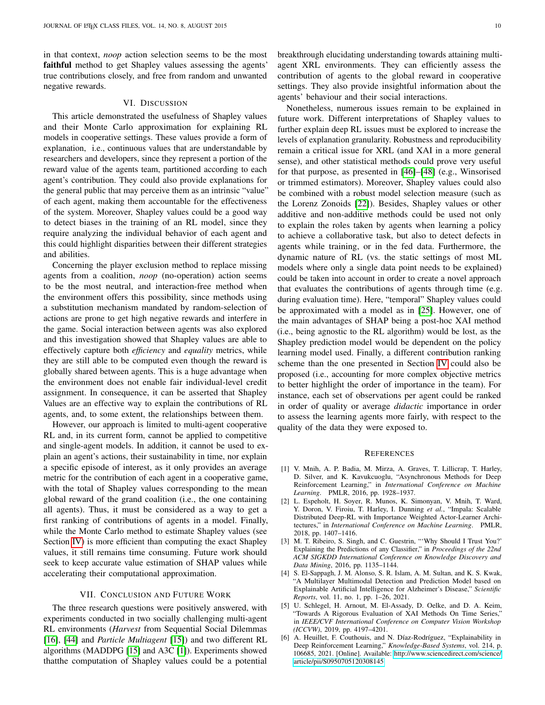in that context, *noop* action selection seems to be the most faithful method to get Shapley values assessing the agents' true contributions closely, and free from random and unwanted negative rewards.

#### VI. DISCUSSION

<span id="page-9-6"></span>This article demonstrated the usefulness of Shapley values and their Monte Carlo approximation for explaining RL models in cooperative settings. These values provide a form of explanation, i.e., continuous values that are understandable by researchers and developers, since they represent a portion of the reward value of the agents team, partitioned according to each agent's contribution. They could also provide explanations for the general public that may perceive them as an intrinsic "value" of each agent, making them accountable for the effectiveness of the system. Moreover, Shapley values could be a good way to detect biases in the training of an RL model, since they require analyzing the individual behavior of each agent and this could highlight disparities between their different strategies and abilities.

Concerning the player exclusion method to replace missing agents from a coalition, *noop* (no-operation) action seems to be the most neutral, and interaction-free method when the environment offers this possibility, since methods using a substitution mechanism mandated by random-selection of actions are prone to get high negative rewards and interfere in the game. Social interaction between agents was also explored and this investigation showed that Shapley values are able to effectively capture both *efficiency* and *equality* metrics, while they are still able to be computed even though the reward is globally shared between agents. This is a huge advantage when the environment does not enable fair individual-level credit assignment. In consequence, it can be asserted that Shapley Values are an effective way to explain the contributions of RL agents, and, to some extent, the relationships between them.

However, our approach is limited to multi-agent cooperative RL and, in its current form, cannot be applied to competitive and single-agent models. In addition, it cannot be used to explain an agent's actions, their sustainability in time, nor explain a specific episode of interest, as it only provides an average metric for the contribution of each agent in a cooperative game, with the total of Shapley values corresponding to the mean global reward of the grand coalition (i.e., the one containing all agents). Thus, it must be considered as a way to get a first ranking of contributions of agents in a model. Finally, while the Monte Carlo method to estimate Shapley values (see Section [IV\)](#page-3-1) is more efficient than computing the exact Shapley values, it still remains time consuming. Future work should seek to keep accurate value estimation of SHAP values while accelerating their computational approximation.

#### VII. CONCLUSION AND FUTURE WORK

<span id="page-9-7"></span>The three research questions were positively answered, with experiments conducted in two socially challenging multi-agent RL environments (*Harvest* from Sequential Social Dilemmas [\[16\]](#page-10-9), [\[44\]](#page-10-36) and *Particle Multiagent* [\[15\]](#page-10-8)) and two different RL algorithms (MADDPG [\[15\]](#page-10-8) and A3C [\[1\]](#page-9-0)). Experiments showed thatthe computation of Shapley values could be a potential

breakthrough elucidating understanding towards attaining multiagent XRL environments. They can efficiently assess the contribution of agents to the global reward in cooperative settings. They also provide insightful information about the agents' behaviour and their social interactions.

Nonetheless, numerous issues remain to be explained in future work. Different interpretations of Shapley values to further explain deep RL issues must be explored to increase the levels of explanation granularity. Robustness and reproducibility remain a critical issue for XRL (and XAI in a more general sense), and other statistical methods could prove very useful for that purpose, as presented in [\[46\]](#page-10-38)–[\[48\]](#page-10-39) (e.g., Winsorised or trimmed estimators). Moreover, Shapley values could also be combined with a robust model selection measure (such as the Lorenz Zonoids [\[22\]](#page-10-15)). Besides, Shapley values or other additive and non-additive methods could be used not only to explain the roles taken by agents when learning a policy to achieve a collaborative task, but also to detect defects in agents while training, or in the fed data. Furthermore, the dynamic nature of RL (vs. the static settings of most ML models where only a single data point needs to be explained) could be taken into account in order to create a novel approach that evaluates the contributions of agents through time (e.g. during evaluation time). Here, "temporal" Shapley values could be approximated with a model as in [\[25\]](#page-10-17). However, one of the main advantages of SHAP being a post-hoc XAI method (i.e., being agnostic to the RL algorithm) would be lost, as the Shapley prediction model would be dependent on the policy learning model used. Finally, a different contribution ranking scheme than the one presented in Section [IV](#page-3-1) could also be proposed (i.e., accounting for more complex objective metrics to better highlight the order of importance in the team). For instance, each set of observations per agent could be ranked in order of quality or average *didactic* importance in order to assess the learning agents more fairly, with respect to the quality of the data they were exposed to.

#### **REFERENCES**

- <span id="page-9-0"></span>[1] V. Mnih, A. P. Badia, M. Mirza, A. Graves, T. Lillicrap, T. Harley, D. Silver, and K. Kavukcuoglu, "Asynchronous Methods for Deep Reinforcement Learning," in *International Conference on Machine Learning*. PMLR, 2016, pp. 1928–1937.
- <span id="page-9-1"></span>[2] L. Espeholt, H. Soyer, R. Munos, K. Simonyan, V. Mnih, T. Ward, Y. Doron, V. Firoiu, T. Harley, I. Dunning *et al.*, "Impala: Scalable Distributed Deep-RL with Importance Weighted Actor-Learner Architectures," in *International Conference on Machine Learning*. PMLR, 2018, pp. 1407–1416.
- <span id="page-9-2"></span>[3] M. T. Ribeiro, S. Singh, and C. Guestrin, "'Why Should I Trust You?' Explaining the Predictions of any Classifier," in *Proceedings of the 22nd ACM SIGKDD International Conference on Knowledge Discovery and Data Mining*, 2016, pp. 1135–1144.
- <span id="page-9-3"></span>[4] S. El-Sappagh, J. M. Alonso, S. R. Islam, A. M. Sultan, and K. S. Kwak, "A Multilayer Multimodal Detection and Prediction Model based on Explainable Artificial Intelligence for Alzheimer's Disease," *Scientific Reports*, vol. 11, no. 1, pp. 1–26, 2021.
- <span id="page-9-4"></span>[5] U. Schlegel, H. Arnout, M. El-Assady, D. Oelke, and D. A. Keim, "Towards A Rigorous Evaluation of XAI Methods On Time Series," in *IEEE/CVF International Conference on Computer Vision Workshop (ICCVW)*, 2019, pp. 4197–4201.
- <span id="page-9-5"></span>[6] A. Heuillet, F. Couthouis, and N. Díaz-Rodríguez, "Explainability in Deep Reinforcement Learning," *Knowledge-Based Systems*, vol. 214, p. 106685, 2021. [Online]. Available: [http://www.sciencedirect.com/science/](http://www.sciencedirect.com/science/article/pii/S0950705120308145) [article/pii/S0950705120308145](http://www.sciencedirect.com/science/article/pii/S0950705120308145)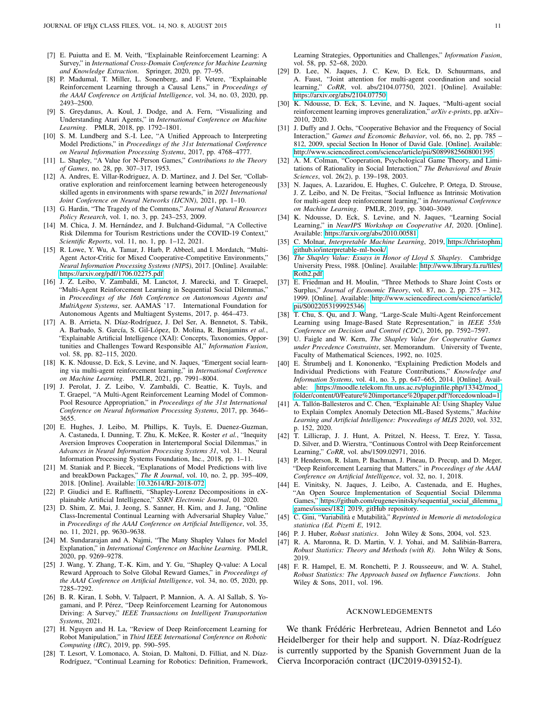- <span id="page-10-0"></span>[7] E. Puiutta and E. M. Veith, "Explainable Reinforcement Learning: A Survey," in *International Cross-Domain Conference for Machine Learning and Knowledge Extraction*. Springer, 2020, pp. 77–95.
- <span id="page-10-1"></span>[8] P. Madumal, T. Miller, L. Sonenberg, and F. Vetere, "Explainable Reinforcement Learning through a Causal Lens," in *Proceedings of the AAAI Conference on Artificial Intelligence*, vol. 34, no. 03, 2020, pp. 2493–2500.
- <span id="page-10-2"></span>[9] S. Greydanus, A. Koul, J. Dodge, and A. Fern, "Visualizing and Understanding Atari Agents," in *International Conference on Machine Learning*. PMLR, 2018, pp. 1792–1801.
- <span id="page-10-3"></span>[10] S. M. Lundberg and S.-I. Lee, "A Unified Approach to Interpreting Model Predictions," in *Proceedings of the 31st International Conference on Neural Information Processing Systems*, 2017, pp. 4768–4777.
- <span id="page-10-4"></span>[11] L. Shapley, "A Value for N-Person Games," *Contributions to the Theory of Games*, no. 28, pp. 307–317, 1953.
- <span id="page-10-5"></span>[12] A. Andres, E. Villar-Rodriguez, A. D. Martinez, and J. Del Ser, "Collaborative exploration and reinforcement learning between heterogeneously skilled agents in environments with sparse rewards," in *2021 International Joint Conference on Neural Networks (IJCNN)*, 2021, pp. 1–10.
- <span id="page-10-6"></span>[13] G. Hardin, "The Tragedy of the Commons," *Journal of Natural Resources Policy Research*, vol. 1, no. 3, pp. 243–253, 2009.
- <span id="page-10-7"></span>[14] M. Chica, J. M. Hernández, and J. Bulchand-Gidumal, "A Collective Risk Dilemma for Tourism Restrictions under the COVID-19 Context," *Scientific Reports*, vol. 11, no. 1, pp. 1–12, 2021.
- <span id="page-10-8"></span>[15] R. Lowe, Y. Wu, A. Tamar, J. Harb, P. Abbeel, and I. Mordatch, "Multi-Agent Actor-Critic for Mixed Cooperative-Competitive Environments," *Neural Information Processing Systems (NIPS)*, 2017. [Online]. Available: <https://arxiv.org/pdf/1706.02275.pdf>
- <span id="page-10-9"></span>[16] J. Z. Leibo, V. Zambaldi, M. Lanctot, J. Marecki, and T. Graepel, "Multi-Agent Reinforcement Learning in Sequential Social Dilemmas," in *Proceedings of the 16th Conference on Autonomous Agents and MultiAgent Systems*, ser. AAMAS '17. International Foundation for Autonomous Agents and Multiagent Systems, 2017, p. 464–473.
- <span id="page-10-10"></span>[17] A. B. Arrieta, N. Díaz-Rodríguez, J. Del Ser, A. Bennetot, S. Tabik, A. Barbado, S. García, S. Gil-López, D. Molina, R. Benjamins et al., "Explainable Artificial Intelligence (XAI): Concepts, Taxonomies, Opportunities and Challenges Toward Responsible AI," *Information Fusion*, vol. 58, pp. 82–115, 2020.
- <span id="page-10-11"></span>[18] K. K. Ndousse, D. Eck, S. Levine, and N. Jaques, "Emergent social learning via multi-agent reinforcement learning," in *International Conference on Machine Learning*. PMLR, 2021, pp. 7991–8004.
- <span id="page-10-12"></span>[19] J. Perolat, J. Z. Leibo, V. Zambaldi, C. Beattie, K. Tuyls, and T. Graepel, "A Multi-Agent Reinforcement Learning Model of Common-Pool Resource Appropriation," in *Proceedings of the 31st International Conference on Neural Information Processing Systems*, 2017, pp. 3646– 3655.
- <span id="page-10-13"></span>[20] E. Hughes, J. Leibo, M. Phillips, K. Tuyls, E. Duenez-Guzman, A. Castaneda, I. Dunning, T. Zhu, K. McKee, R. Koster *et al.*, "Inequity Aversion Improves Cooperation in Intertemporal Social Dilemmas," in *Advances in Neural Information Processing Systems 31*, vol. 31. Neural Information Processing Systems Foundation, Inc., 2018, pp. 1–11.
- <span id="page-10-14"></span>[21] M. Staniak and P. Biecek, "Explanations of Model Predictions with live and breakDown Packages," *The R Journal*, vol. 10, no. 2, pp. 395–409, 2018. [Online]. Available:<10.32614/RJ-2018-072>
- <span id="page-10-15"></span>[22] P. Giudici and E. Raffinetti, "Shapley-Lorenz Decompositions in eXplainable Artificial Intelligence," *SSRN Electronic Journal*, 01 2020.
- [23] D. Shim, Z. Mai, J. Jeong, S. Sanner, H. Kim, and J. Jang, "Online Class-Incremental Continual Learning with Adversarial Shapley Value, in *Proceedings of the AAAI Conference on Artificial Intelligence*, vol. 35, no. 11, 2021, pp. 9630–9638.
- <span id="page-10-16"></span>[24] M. Sundararajan and A. Najmi, "The Many Shapley Values for Model Explanation," in *International Conference on Machine Learning*. PMLR, 2020, pp. 9269–9278.
- <span id="page-10-17"></span>[25] J. Wang, Y. Zhang, T.-K. Kim, and Y. Gu, "Shapley Q-value: A Local Reward Approach to Solve Global Reward Games," in *Proceedings of the AAAI Conference on Artificial Intelligence*, vol. 34, no. 05, 2020, pp. 7285–7292.
- <span id="page-10-18"></span>[26] B. R. Kiran, I. Sobh, V. Talpaert, P. Mannion, A. A. Al Sallab, S. Yogamani, and P. Pérez, "Deep Reinforcement Learning for Autonomous Driving: A Survey," *IEEE Transactions on Intelligent Transportation Systems*, 2021.
- <span id="page-10-19"></span>[27] H. Nguyen and H. La, "Review of Deep Reinforcement Learning for Robot Manipulation," in *Third IEEE International Conference on Robotic Computing (IRC)*, 2019, pp. 590–595.
- <span id="page-10-20"></span>[28] T. Lesort, V. Lomonaco, A. Stoian, D. Maltoni, D. Filliat, and N. Díaz-Rodríguez, "Continual Learning for Robotics: Definition, Framework,

Learning Strategies, Opportunities and Challenges," *Information Fusion*, vol. 58, pp. 52–68, 2020.

- <span id="page-10-21"></span>[29] D. Lee, N. Jaques, J. C. Kew, D. Eck, D. Schuurmans, and A. Faust, "Joint attention for multi-agent coordination and social learning," *CoRR*, vol. abs/2104.07750, 2021. [Online]. Available: <https://arxiv.org/abs/2104.07750>
- <span id="page-10-22"></span>[30] K. Ndousse, D. Eck, S. Levine, and N. Jaques, "Multi-agent social reinforcement learning improves generalization," *arXiv e-prints*, pp. arXiv– 2010, 2020.
- <span id="page-10-23"></span>[31] J. Duffy and J. Ochs, "Cooperative Behavior and the Frequency of Social Interaction," *Games and Economic Behavior*, vol. 66, no. 2, pp. 785 – 812, 2009, special Section In Honor of David Gale. [Online]. Available: <http://www.sciencedirect.com/science/article/pii/S0899825608001395>
- <span id="page-10-24"></span>[32] A. M. Colman, "Cooperation, Psychological Game Theory, and Limitations of Rationality in Social Interaction," *The Behavioral and Brain Sciences*, vol. 26(2), p. 139–198, 2003.
- <span id="page-10-25"></span>[33] N. Jaques, A. Lazaridou, E. Hughes, C. Gulcehre, P. Ortega, D. Strouse, J. Z. Leibo, and N. De Freitas, "Social Influence as Intrinsic Motivation for multi-agent deep reinforcement learning," in *International Conference on Machine Learning*. PMLR, 2019, pp. 3040–3049.
- <span id="page-10-26"></span>[34] K. Ndousse, D. Eck, S. Levine, and N. Jaques, "Learning Social Learning," in *NeurIPS Workshop on Cooperative AI*, 2020. [Online]. Available:<https://arxiv.org/abs/2010.00581>
- <span id="page-10-27"></span>[35] C. Molnar, *Interpretable Machine Learning*, 2019, [https://christophm.](https://christophm.github.io/interpretable-ml-book/) [github.io/interpretable-ml-book/.](https://christophm.github.io/interpretable-ml-book/)
- <span id="page-10-28"></span>[36] *The Shapley Value: Essays in Honor of Lloyd S. Shapley*. Cambridge University Press, 1988. [Online]. Available: [http://www.library.fa.ru/files/](http://www.library.fa.ru/files/Roth2.pdf) [Roth2.pdf](http://www.library.fa.ru/files/Roth2.pdf)
- <span id="page-10-29"></span>[37] E. Friedman and H. Moulin, "Three Methods to Share Joint Costs or Surplus," *Journal of Economic Theory*, vol. 87, no. 2, pp. 275 – 312, 1999. [Online]. Available: [http://www.sciencedirect.com/science/article/](http://www.sciencedirect.com/science/article/pii/S0022053199925346) [pii/S0022053199925346](http://www.sciencedirect.com/science/article/pii/S0022053199925346)
- <span id="page-10-30"></span>[38] T. Chu, S. Qu, and J. Wang, "Large-Scale Multi-Agent Reinforcement Learning using Image-Based State Representation," in *IEEE 55th Conference on Decision and Control (CDC)*, 2016, pp. 7592–7597.
- <span id="page-10-31"></span>[39] U. Faigle and W. Kern, *The Shapley Value for Cooperative Games under Precedence Constraints*, ser. Memorandum. University of Twente, Faculty of Mathematical Sciences, 1992, no. 1025.
- <span id="page-10-32"></span>[40] E. Štrumbelj and I. Kononenko, "Explaining Prediction Models and Individual Predictions with Feature Contributions," *Knowledge and Information Systems*, vol. 41, no. 3, pp. 647–665, 2014. [Online]. Available: [https://moodle.telekom.ftn.uns.ac.rs/pluginfile.php/13342/mod](https://moodle.telekom.ftn.uns.ac.rs/pluginfile.php/13342/mod_folder/content/0/Feature%20importance%20paper.pdf?forcedownload=1) [folder/content/0/Feature%20importance%20paper.pdf?forcedownload=1](https://moodle.telekom.ftn.uns.ac.rs/pluginfile.php/13342/mod_folder/content/0/Feature%20importance%20paper.pdf?forcedownload=1)
- <span id="page-10-33"></span>[41] A. Tallón-Ballesteros and C. Chen, "Explainable AI: Using Shapley Value to Explain Complex Anomaly Detection ML-Based Systems," *Machine Learning and Artificial Intelligence: Proceedings of MLIS 2020*, vol. 332, p. 152, 2020.
- <span id="page-10-34"></span>[42] T. Lillicrap, J. J. Hunt, A. Pritzel, N. Heess, T. Erez, Y. Tassa, D. Silver, and D. Wierstra, "Continuous Control with Deep Reinforcement Learning," *CoRR*, vol. abs/1509.02971, 2016.
- <span id="page-10-35"></span>[43] P. Henderson, R. Islam, P. Bachman, J. Pineau, D. Precup, and D. Meger, "Deep Reinforcement Learning that Matters," in *Proceedings of the AAAI Conference on Artificial Intelligence*, vol. 32, no. 1, 2018.
- <span id="page-10-36"></span>[44] E. Vinitsky, N. Jaques, J. Leibo, A. Castenada, and E. Hughes, "An Open Source Implementation of Sequential Social Dilemma Games," [https://github.com/eugenevinitsky/sequential](https://github.com/eugenevinitsky/sequential_social_dilemma_games/issues/182)\_social\_dilemma\_ [games/issues/182,](https://github.com/eugenevinitsky/sequential_social_dilemma_games/issues/182) 2019, gitHub repository.
- <span id="page-10-37"></span>[45] C. Gini, "Variabilità e Mutabilità," Reprinted in Memorie di metodologica *statistica (Ed. Pizetti E*, 1912.
- <span id="page-10-38"></span>[46] P. J. Huber, *Robust statistics*. John Wiley & Sons, 2004, vol. 523.
- [47] R. A. Maronna, R. D. Martin, V. J. Yohai, and M. Salibián-Barrera, *Robust Statistics: Theory and Methods (with R)*. John Wiley & Sons, 2019.
- <span id="page-10-39"></span>[48] F. R. Hampel, E. M. Ronchetti, P. J. Rousseeuw, and W. A. Stahel, *Robust Statistics: The Approach based on Influence Functions*. John Wiley & Sons, 2011, vol. 196.

#### **ACKNOWLEDGEMENTS**

We thank Frédéric Herbreteau, Adrien Bennetot and Léo Heidelberger for their help and support. N. Díaz-Rodríguez is currently supported by the Spanish Government Juan de la Cierva Incorporación contract (IJC2019-039152-I).